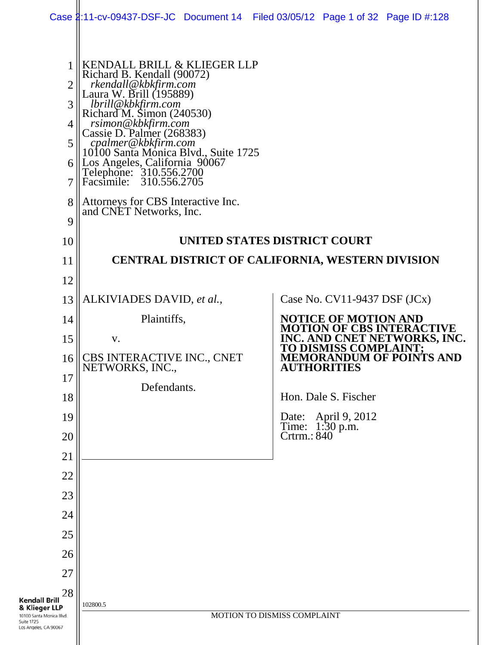|                                                                                                                       |                                                                                                                                                                                                                                                                                                                                                                          | Case 2:11-cv-09437-DSF-JC Document 14 Filed 03/05/12 Page 1 of 32 Page ID #:128 |
|-----------------------------------------------------------------------------------------------------------------------|--------------------------------------------------------------------------------------------------------------------------------------------------------------------------------------------------------------------------------------------------------------------------------------------------------------------------------------------------------------------------|---------------------------------------------------------------------------------|
| $\overline{2}$<br>$\mathfrak{Z}$<br>4<br>$5^{\circ}$<br>6<br>7                                                        | KENDALL BRILL & KLIEGER LLP<br>Richard B. Kendall (90072)<br>rkendall@kbkfirm.com<br>Laura W. Brill (195889)<br>lbrill@kbkfirm.com<br>Richard M. Simon (240530)<br>rsimon@kbkfirm.com<br>Cassie D. Palmer (268383)<br>cpalmer@kbkfirm.com<br>10100 Santa Monica Blvd., Suite 1725<br>Los Angeles, California 90067<br>Telephone: 310.556.2700<br>Facsimile: 310.556.2705 |                                                                                 |
| 8<br>9                                                                                                                | Attorneys for CBS Interactive Inc.<br>and CNET Networks, Inc.                                                                                                                                                                                                                                                                                                            |                                                                                 |
| 10                                                                                                                    |                                                                                                                                                                                                                                                                                                                                                                          | UNITED STATES DISTRICT COURT                                                    |
| 11                                                                                                                    |                                                                                                                                                                                                                                                                                                                                                                          | CENTRAL DISTRICT OF CALIFORNIA, WESTERN DIVISION                                |
| 12                                                                                                                    |                                                                                                                                                                                                                                                                                                                                                                          |                                                                                 |
| 13                                                                                                                    | ALKIVIADES DAVID, et al.,                                                                                                                                                                                                                                                                                                                                                | Case No. $CV11-9437$ DSF $JCx)$                                                 |
| 14                                                                                                                    | Plaintiffs,                                                                                                                                                                                                                                                                                                                                                              | <b>NOTICE OF MOTION AND</b><br><b>MOTION OF CBS INTERACTIVE</b>                 |
| 15                                                                                                                    | V.                                                                                                                                                                                                                                                                                                                                                                       | INC. AND CNET NETWORKS, INC.<br>TO DISMISS COMPLAINT;                           |
| 16                                                                                                                    | CBS INTERACTIVE INC., CNET<br>NETWORKS, INC.,                                                                                                                                                                                                                                                                                                                            | <b>MEMORANDUM OF POINTS AND</b><br><b>AUTHORITIES</b>                           |
| 17                                                                                                                    | Defendants.                                                                                                                                                                                                                                                                                                                                                              |                                                                                 |
| 18                                                                                                                    |                                                                                                                                                                                                                                                                                                                                                                          | Hon. Dale S. Fischer                                                            |
| 19                                                                                                                    |                                                                                                                                                                                                                                                                                                                                                                          | Date: April 9, 2012<br>Time: 1:30 p.m.<br>Crtrm.: 840                           |
| 20<br>21                                                                                                              |                                                                                                                                                                                                                                                                                                                                                                          |                                                                                 |
| 22                                                                                                                    |                                                                                                                                                                                                                                                                                                                                                                          |                                                                                 |
| 23                                                                                                                    |                                                                                                                                                                                                                                                                                                                                                                          |                                                                                 |
| 24                                                                                                                    |                                                                                                                                                                                                                                                                                                                                                                          |                                                                                 |
| 25                                                                                                                    |                                                                                                                                                                                                                                                                                                                                                                          |                                                                                 |
| 26                                                                                                                    |                                                                                                                                                                                                                                                                                                                                                                          |                                                                                 |
| 27                                                                                                                    |                                                                                                                                                                                                                                                                                                                                                                          |                                                                                 |
| 28<br><b>Kendall Brill</b><br>& Klieger LLP<br>10100 Santa Monica Blvd.<br><b>Suite 1725</b><br>Los Angeles, CA 90067 | 102800.5                                                                                                                                                                                                                                                                                                                                                                 | MOTION TO DISMISS COMPLAINT                                                     |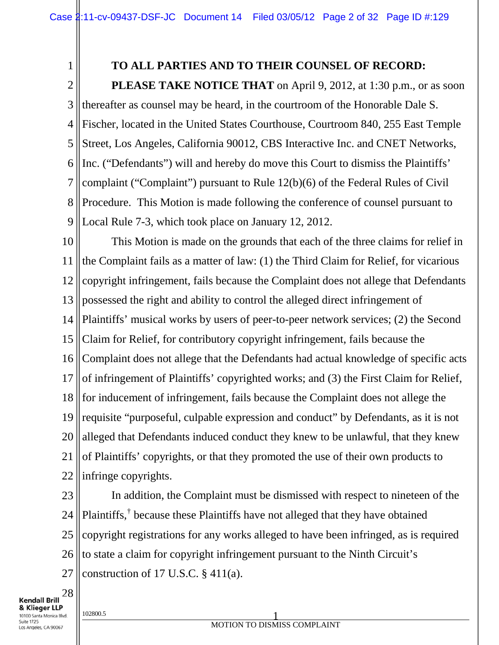# 1

# **TO ALL PARTIES AND TO THEIR COUNSEL OF RECORD:**

2 3 4 5 6 7 8 9 **PLEASE TAKE NOTICE THAT** on April 9, 2012, at 1:30 p.m., or as soon thereafter as counsel may be heard, in the courtroom of the Honorable Dale S. Fischer, located in the United States Courthouse, Courtroom 840, 255 East Temple Street, Los Angeles, California 90012, CBS Interactive Inc. and CNET Networks, Inc. ("Defendants") will and hereby do move this Court to dismiss the Plaintiffs' complaint ("Complaint") pursuant to Rule 12(b)(6) of the Federal Rules of Civil Procedure. This Motion is made following the conference of counsel pursuant to Local Rule 7-3, which took place on January 12, 2012.

10 11 12 13 14 15 16 17 18 19 20 21 22 This Motion is made on the grounds that each of the three claims for relief in the Complaint fails as a matter of law: (1) the Third Claim for Relief, for vicarious copyright infringement, fails because the Complaint does not allege that Defendants possessed the right and ability to control the alleged direct infringement of Plaintiffs' musical works by users of peer-to-peer network services; (2) the Second Claim for Relief, for contributory copyright infringement, fails because the Complaint does not allege that the Defendants had actual knowledge of specific acts of infringement of Plaintiffs' copyrighted works; and (3) the First Claim for Relief, for inducement of infringement, fails because the Complaint does not allege the requisite "purposeful, culpable expression and conduct" by Defendants, as it is not alleged that Defendants induced conduct they knew to be unlawful, that they knew of Plaintiffs' copyrights, or that they promoted the use of their own products to infringe copyrights.

23 24 25 26 27 In addition, the Complaint must be dismissed with respect to nineteen of the Plaintiffs,† because these Plaintiffs have not alleged that they have obtained copyright registrations for any works alleged to have been infringed, as is required to state a claim for copyright infringement pursuant to the Ninth Circuit's construction of 17 U.S.C.  $\S$  411(a).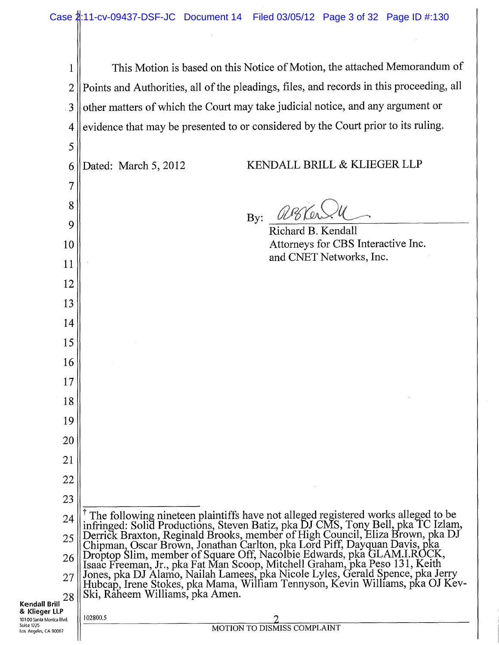1 || This Motion is based on this Notice of Motion, the attached Memorandum of 2 || Points and Authorities, all of the pleadings, files, and records in this proceeding, all 3 || other matters of which the Court may take judicial notice, and any argument or 4 evidence that may be presented to or considered by the Court prior to its ruling.

Kendall Brill 5 6 7 8 9 10 11 12 13 14 15 16 17 18 19 20 21 22 23 Dated: March 5, 2012 KENDALL BRILL & KLIEGER LLP By:  $\mathscr{DB}$ Richard B. Kendall Attorneys for CBS Interactive Inc. and CNET Networks, Inc.  $24$   $\parallel$ <sup>T</sup> The following nineteen plaintiffs have not alleged registered works alleged to be infringed: Solid Productions, Steven Batiz, pka DJ CMS, Tony Bell, pka TC Izlam, 25 Derrick Braxton, Reginald Brooks, member of High Council, Eliza grown, pka DJ Chipman, Oscar Brown, Jonathan Carlton, pka Lord Piff, Dayquan Davis, pka  $_{26}$  Droptop Slim, member of Square Off, Nacolbie Edwards, pka GLAM.I.ROCK, 28 Isaac Freeman, Jr., pka Fat Man Scoop, Mitchell Graham,~ka Peso 131, Keith  $_{27}$  Jones, pka DJ Alamo, Nailah Lamees, pka Nicole Lyles, Gerald Spence, pka Jerry Hubcap, Irene Stokes, pka Mama, William Tennyson, Kevin Wilhams, pka OJ Kev-Ski, Raheem Williams, pka Amen. & Klieger LLP 10100 Santa Monica Blvd. Suite 1725<br>Los Angeles, CA 90067  $102800.5$  2 MOTION TO DISMISS COMPLAINT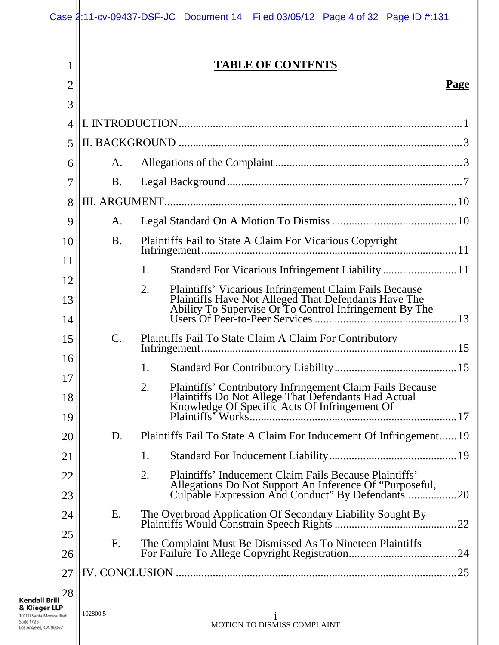|                                        |           | Case 1:11-cv-09437-DSF-JC Document 14 Filed 03/05/12 Page 4 of 32 Page ID #:131                                                                                                                            |
|----------------------------------------|-----------|------------------------------------------------------------------------------------------------------------------------------------------------------------------------------------------------------------|
| 1<br>$\overline{2}$                    |           | <b>TABLE OF CONTENTS</b><br>Page                                                                                                                                                                           |
| 3                                      |           |                                                                                                                                                                                                            |
| $\overline{4}$                         |           |                                                                                                                                                                                                            |
| 5                                      |           |                                                                                                                                                                                                            |
| 6                                      | A.        |                                                                                                                                                                                                            |
| 7                                      | <b>B.</b> |                                                                                                                                                                                                            |
| 8                                      |           |                                                                                                                                                                                                            |
| 9                                      | A.        |                                                                                                                                                                                                            |
| 10                                     | <b>B.</b> | Plaintiffs Fail to State A Claim For Vicarious Copyright                                                                                                                                                   |
| 11                                     |           | 1.                                                                                                                                                                                                         |
| 12                                     |           | 2.                                                                                                                                                                                                         |
| 13                                     |           | Plaintiffs' Vicarious Infringement Claim Fails Because<br>Plaintiffs Have Not Alleged That Defendants Have The<br>Ability To Supervise Or To Control Infringement By The<br>Users Of Peer-to-Peer Services |
| 14                                     |           |                                                                                                                                                                                                            |
| 15                                     | C.        | Plaintiffs Fail To State Claim A Claim For Contributory                                                                                                                                                    |
| 16                                     |           |                                                                                                                                                                                                            |
| 17<br>18                               |           | 2.<br><b>Plaintiffs' Contributory Infringement Claim Fails Because</b><br>Plaintiffs Do Not Allege That Defendants Had Actual<br>Knowledge Of Specific Acts Of Infringement Of                             |
| 19                                     |           |                                                                                                                                                                                                            |
| 20                                     | D.        | Plaintiffs Fail To State A Claim For Inducement Of Infringement 19                                                                                                                                         |
| 21                                     |           | 1.                                                                                                                                                                                                         |
| 22<br>23                               |           | 2.<br>Plaintiffs' Inducement Claim Fails Because Plaintiffs'<br>Allegations Do Not Support An Inference Of "Purposeful,<br>Culpable Expression And Conduct" By Defendants<br>.20                           |
| 24                                     | Ε.        | The Overbroad Application Of Secondary Liability Sought By<br>22                                                                                                                                           |
| 25<br>26                               | F.        | The Complaint Must Be Dismissed As To Nineteen Plaintiffs                                                                                                                                                  |
| 27                                     |           | .25                                                                                                                                                                                                        |
| 28                                     |           |                                                                                                                                                                                                            |
| <b>Brill</b><br>er LLP<br>Monica Blvd. | 102800.5  | MOTION TO DISMISS COMPLAINT                                                                                                                                                                                |
| A 90067                                |           |                                                                                                                                                                                                            |

**Kendall I<br>& Kliege**<br>10100 Santa M<br>Suite 1725<br>Los Angeles, C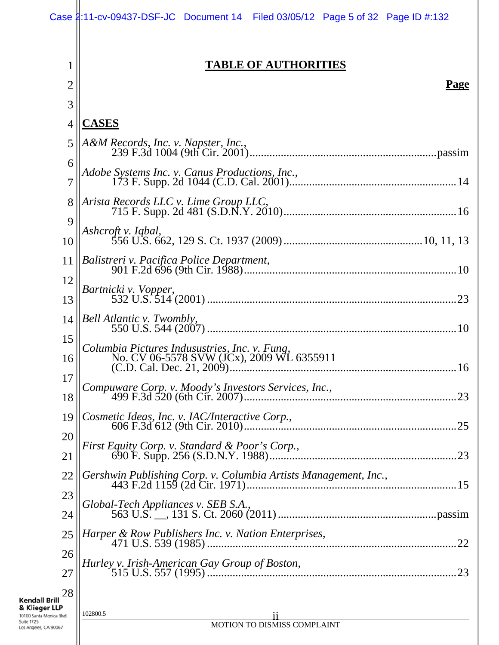|                                                                                                                       | Case 1:11-cv-09437-DSF-JC Document 14 Filed 03/05/12 Page 5 of 32 Page ID #:132            |
|-----------------------------------------------------------------------------------------------------------------------|--------------------------------------------------------------------------------------------|
| 1<br>2                                                                                                                | <b>TABLE OF AUTHORITIES</b><br><b>Page</b>                                                 |
| 3                                                                                                                     |                                                                                            |
| $\overline{4}$                                                                                                        | <b>CASES</b>                                                                               |
| 5                                                                                                                     | A&M Records, Inc. v. Napster, Inc.,                                                        |
| 6                                                                                                                     |                                                                                            |
| 7                                                                                                                     | Adobe Systems Inc. v. Canus Productions, Inc.,                                             |
| 8                                                                                                                     | Arista Records LLC v. Lime Group LLC,                                                      |
| 9                                                                                                                     | Ashcroft v. Iqbal,                                                                         |
| 10                                                                                                                    |                                                                                            |
| 11                                                                                                                    |                                                                                            |
| 12                                                                                                                    | Bartnicki v. Vopper,                                                                       |
| 13                                                                                                                    |                                                                                            |
| 14                                                                                                                    | Bell Atlantic v. Twombly,                                                                  |
| 15<br>16                                                                                                              | Columbia Pictures Indusustries, Inc. v. Fung,<br>No. CV 06-5578 SVW (JCx), 2009 WL 6355911 |
| 17                                                                                                                    |                                                                                            |
| 18                                                                                                                    |                                                                                            |
| 19                                                                                                                    | Cosmetic Ideas, Inc. v. IAC/Interactive Corp.,<br>.25                                      |
| 20                                                                                                                    | First Equity Corp. v. Standard & Poor's Corp.,                                             |
| 21                                                                                                                    |                                                                                            |
| 22                                                                                                                    | Gershwin Publishing Corp. v. Columbia Artists Management, Inc.,                            |
| 23                                                                                                                    | Global-Tech Appliances v. SEB S.A.,                                                        |
| 24                                                                                                                    |                                                                                            |
| 25                                                                                                                    | Harper & Row Publishers Inc. v. Nation Enterprises,<br>.22                                 |
| 26<br>27                                                                                                              | Hurley v. Irish-American Gay Group of Boston,<br>.23                                       |
| 28<br><b>Kendall Brill</b><br>& Klieger LLP<br>10100 Santa Monica Blvd.<br><b>Suite 1725</b><br>Los Angeles, CA 90067 | 102800.5<br>11<br>MOTION TO DISMISS COMPLAINT                                              |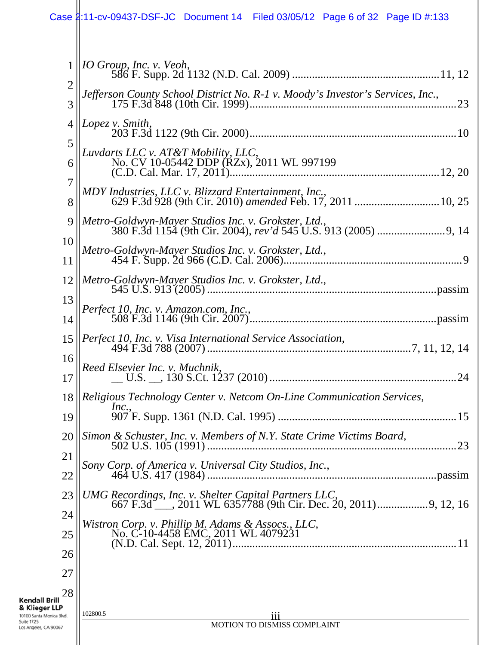|                                                                                  | Case 2:11-cv-09437-DSF-JC Document 14 Filed 03/05/12 Page 6 of 32 Page ID #:133                                                 |
|----------------------------------------------------------------------------------|---------------------------------------------------------------------------------------------------------------------------------|
| 1<br>$\overline{2}$                                                              | IO Group, Inc. v. Veoh,<br>Jefferson County School District No. R-1 v. Moody's Investor's Services, Inc.,                       |
| 3<br>$\overline{4}$                                                              | Lopez v. Smith,                                                                                                                 |
| 5<br>6                                                                           | Luvdarts LLC v. AT&T Mobility, LLC,                                                                                             |
| 7<br>8                                                                           | MDY Industries, LLC v. Blizzard Entertainment, Inc.,                                                                            |
| 9<br>10                                                                          | Metro-Goldwyn-Mayer Studios Inc. v. Grokster, Ltd.,                                                                             |
| 11                                                                               | Metro-Goldwyn-Mayer Studios Inc. v. Grokster, Ltd.,                                                                             |
| 12<br>13                                                                         |                                                                                                                                 |
| 14                                                                               | Perfect 10, Inc. v. Amazon.com, Inc.,                                                                                           |
| 15                                                                               |                                                                                                                                 |
| 16<br>17                                                                         | Reed Elsevier Inc. v. Muchnik,                                                                                                  |
| 18                                                                               | Religious Technology Center v. Netcom On-Line Communication Services,<br>Inc.,                                                  |
| 19<br>20                                                                         | Simon & Schuster, Inc. v. Members of N.Y. State Crime Victims Board,                                                            |
| 21                                                                               | .23                                                                                                                             |
| 22                                                                               |                                                                                                                                 |
| 23<br>24                                                                         | <i>UMG Recordings, Inc. v. Shelter Capital Partners LLC,</i><br>667 F.3d ___, 2011 WL 6357788 (9th Cir. Dec. 20, 2011)9, 12, 16 |
| 25                                                                               | Wistron Corp. v. Phillip M. Adams & Assocs., LLC,<br>No. C-10-4458 EMC, 2011 WL 4079231                                         |
| 26<br>27                                                                         |                                                                                                                                 |
| 28<br><b>Kendall Brill</b>                                                       |                                                                                                                                 |
| & Klieger LLP<br>10100 Santa Monica Blvd.<br>Suite 1725<br>Los Angeles, CA 90067 | 102800.5<br>111<br>MOTION TO DISMISS COMPLAINT                                                                                  |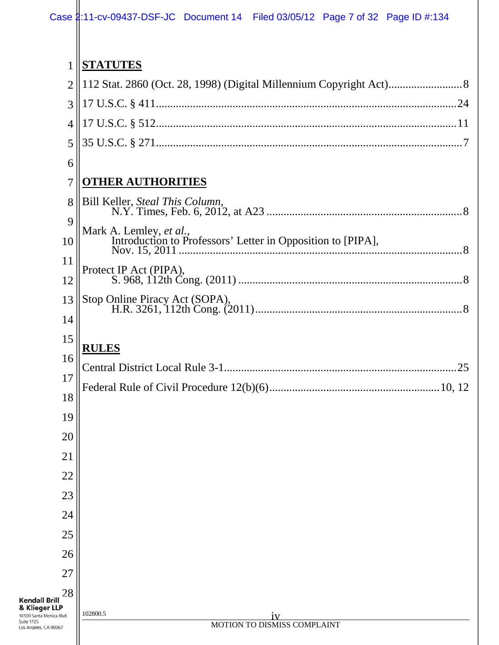| 1                                                              | <b>STATUTES</b>                                             |
|----------------------------------------------------------------|-------------------------------------------------------------|
| $\overline{2}$                                                 |                                                             |
| 3                                                              |                                                             |
| $\overline{4}$                                                 |                                                             |
| 5                                                              |                                                             |
| 6                                                              |                                                             |
| 7                                                              | <b>OTHER AUTHORITIES</b>                                    |
| 8                                                              | Bill Keller, Steal This Column,                             |
| 9                                                              | Mark A. Lemley, et al.,                                     |
| 10                                                             | Introduction to Professors' Letter in Opposition to [PIPA], |
| 11                                                             | Protect IP Act (PIPA),                                      |
| 12                                                             |                                                             |
| 13                                                             | Stop Online Piracy Act (SOPA),                              |
| 14                                                             |                                                             |
| 15                                                             | <b>RULES</b>                                                |
| 16                                                             |                                                             |
| 17                                                             |                                                             |
| 18                                                             |                                                             |
| 19                                                             |                                                             |
| 20                                                             |                                                             |
| 21                                                             |                                                             |
| 22                                                             |                                                             |
| 23                                                             |                                                             |
| 24                                                             |                                                             |
| 25                                                             |                                                             |
| 26                                                             |                                                             |
| 27                                                             |                                                             |
| 28<br><b>Kendall Brill</b>                                     |                                                             |
| & Klieger LLP<br>10100 Santa Monica Blvd.<br><b>Suite 1725</b> | 102800.5<br>1V<br>MOTION TO DISMISS COMPLAINT               |
| Los Angeles, CA 90067                                          |                                                             |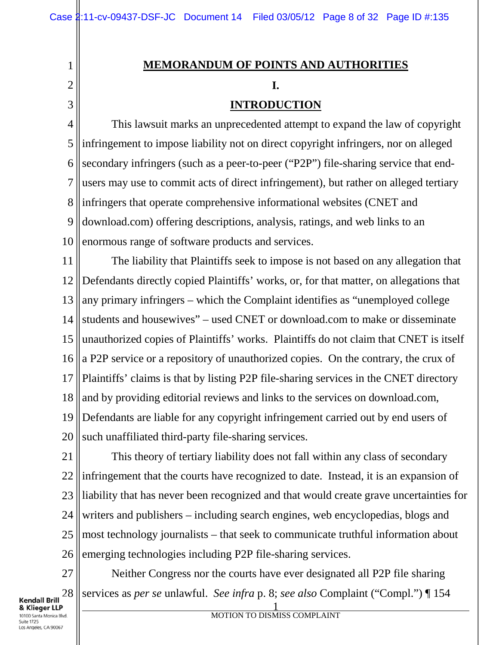# **MEMORANDUM OF POINTS AND AUTHORITIES I.**

# **INTRODUCTION**

4 5 6 7 8 9 10 This lawsuit marks an unprecedented attempt to expand the law of copyright infringement to impose liability not on direct copyright infringers, nor on alleged secondary infringers (such as a peer-to-peer ("P2P") file-sharing service that endusers may use to commit acts of direct infringement), but rather on alleged tertiary infringers that operate comprehensive informational websites (CNET and download.com) offering descriptions, analysis, ratings, and web links to an enormous range of software products and services.

11 12 13 14 15 16 17 18 19 20 The liability that Plaintiffs seek to impose is not based on any allegation that Defendants directly copied Plaintiffs' works, or, for that matter, on allegations that any primary infringers – which the Complaint identifies as "unemployed college students and housewives" – used CNET or download.com to make or disseminate unauthorized copies of Plaintiffs' works. Plaintiffs do not claim that CNET is itself a P2P service or a repository of unauthorized copies. On the contrary, the crux of Plaintiffs' claims is that by listing P2P file-sharing services in the CNET directory and by providing editorial reviews and links to the services on download.com, Defendants are liable for any copyright infringement carried out by end users of such unaffiliated third-party file-sharing services.

21 22 23 24 25 26 This theory of tertiary liability does not fall within any class of secondary infringement that the courts have recognized to date. Instead, it is an expansion of liability that has never been recognized and that would create grave uncertainties for writers and publishers – including search engines, web encyclopedias, blogs and most technology journalists – that seek to communicate truthful information about emerging technologies including P2P file-sharing services.

27 28 Neither Congress nor the courts have ever designated all P2P file sharing services as *per se* unlawful. *See infra* p. 8; *see also* Complaint ("Compl.") ¶ 154

Kendall Brill & Klieger LLP 10100 Santa Monica Blvd. Suite 1725 Los Angeles, CA 90067

1

2

3

1 MOTION TO DISMISS COMPLAINT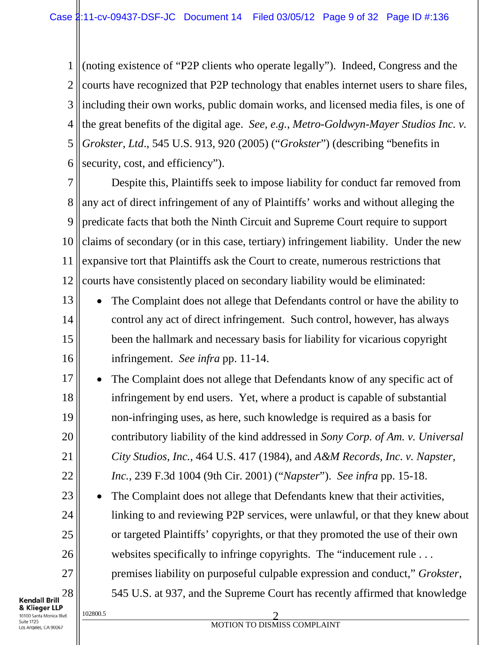1 2 3 4 5 6 (noting existence of "P2P clients who operate legally"). Indeed, Congress and the courts have recognized that P2P technology that enables internet users to share files, including their own works, public domain works, and licensed media files, is one of the great benefits of the digital age. *See, e.g.*, *Metro-Goldwyn-Mayer Studios Inc. v. Grokster, Ltd*., 545 U.S. 913, 920 (2005) ("*Grokster*") (describing "benefits in security, cost, and efficiency").

7 8 9 10 11 12 Despite this, Plaintiffs seek to impose liability for conduct far removed from any act of direct infringement of any of Plaintiffs' works and without alleging the predicate facts that both the Ninth Circuit and Supreme Court require to support claims of secondary (or in this case, tertiary) infringement liability. Under the new expansive tort that Plaintiffs ask the Court to create, numerous restrictions that courts have consistently placed on secondary liability would be eliminated:

- 13 14 15 16 The Complaint does not allege that Defendants control or have the ability to control any act of direct infringement. Such control, however, has always been the hallmark and necessary basis for liability for vicarious copyright infringement. *See infra* pp. 11-14.
- 17 18 19 20 21 22 The Complaint does not allege that Defendants know of any specific act of infringement by end users. Yet, where a product is capable of substantial non-infringing uses, as here, such knowledge is required as a basis for contributory liability of the kind addressed in *Sony Corp. of Am. v. Universal City Studios, Inc.*, 464 U.S. 417 (1984), and *A&M Records, Inc. v. Napster, Inc.*, 239 F.3d 1004 (9th Cir. 2001) ("*Napster*"). *See infra* pp. 15-18.

The Complaint does not allege that Defendants knew that their activities, linking to and reviewing P2P services, were unlawful, or that they knew about or targeted Plaintiffs' copyrights, or that they promoted the use of their own websites specifically to infringe copyrights. The "inducement rule ... premises liability on purposeful culpable expression and conduct," *Grokster*, 545 U.S. at 937, and the Supreme Court has recently affirmed that knowledge

**Kendall Brill** & Klieger LLP 10100 Santa Monica Blvd. Suite 1725 Los Angeles, CA 90067

23

24

25

26

27

28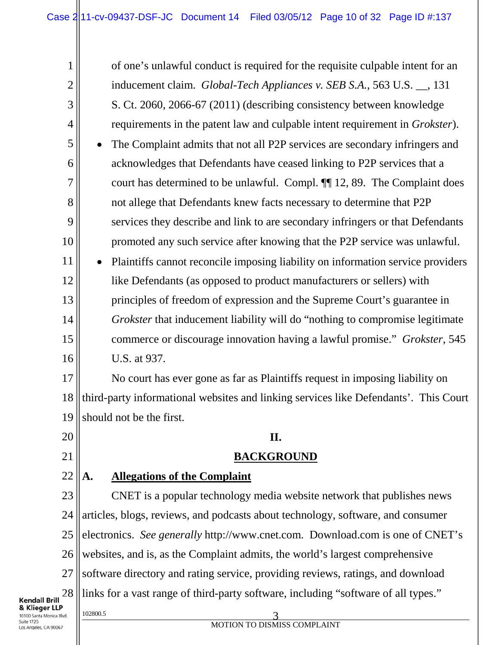1 2 3 4 5 6 7 8 9 10 11 12 13 14 15 16 17 18 19 20 21 of one's unlawful conduct is required for the requisite culpable intent for an inducement claim. *Global-Tech Appliances v. SEB S.A.*, 563 U.S. \_\_, 131 S. Ct. 2060, 2066-67 (2011) (describing consistency between knowledge requirements in the patent law and culpable intent requirement in *Grokster*). • The Complaint admits that not all P2P services are secondary infringers and acknowledges that Defendants have ceased linking to P2P services that a court has determined to be unlawful. Compl. ¶¶ 12, 89. The Complaint does not allege that Defendants knew facts necessary to determine that P2P services they describe and link to are secondary infringers or that Defendants promoted any such service after knowing that the P2P service was unlawful. Plaintiffs cannot reconcile imposing liability on information service providers like Defendants (as opposed to product manufacturers or sellers) with principles of freedom of expression and the Supreme Court's guarantee in *Grokster* that inducement liability will do "nothing to compromise legitimate commerce or discourage innovation having a lawful promise." *Grokster*, 545 U.S. at 937. No court has ever gone as far as Plaintiffs request in imposing liability on third-party informational websites and linking services like Defendants'. This Court should not be the first. **II.**

# **BACKGROUND**

#### 22 **A. Allegations of the Complaint**

23 24 25 26 27 28 CNET is a popular technology media website network that publishes news articles, blogs, reviews, and podcasts about technology, software, and consumer electronics. *See generally* http://www.cnet.com. Download.com is one of CNET's websites, and is, as the Complaint admits, the world's largest comprehensive software directory and rating service, providing reviews, ratings, and download links for a vast range of third-party software, including "software of all types."

Kendall Brill & Klieger LLP 10100 Santa Monica Blvd. Suite 1725 os Angeles, CA 90067

### 102800.5 3 MOTION TO DISMISS COMPLAINT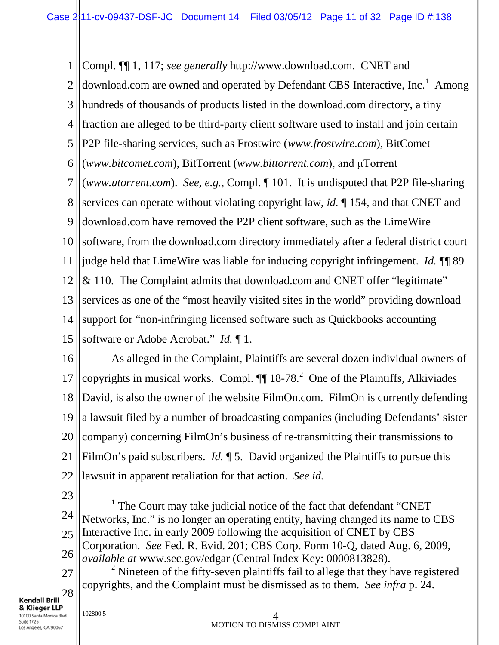1 2 3 4 5 6 7 8 9 10 11 12 13 14 15 Compl. ¶¶ 1, 117; *see generally* http://www.download.com. CNET and download.com are owned and operated by Defendant CBS Interactive, Inc.<sup>1</sup> Among hundreds of thousands of products listed in the download.com directory, a tiny fraction are alleged to be third-party client software used to install and join certain P2P file-sharing services, such as Frostwire (*www.frostwire.com*), BitComet (*www.bitcomet.com*), BitTorrent (*www.bittorrent.com*), and uTorrent (*www.utorrent.com*). *See, e.g.*, Compl. ¶ 101. It is undisputed that P2P file-sharing services can operate without violating copyright law, *id.* ¶ 154, and that CNET and download.com have removed the P2P client software, such as the LimeWire software, from the download.com directory immediately after a federal district court judge held that LimeWire was liable for inducing copyright infringement. *Id.* ¶¶ 89 & 110. The Complaint admits that download.com and CNET offer "legitimate" services as one of the "most heavily visited sites in the world" providing download support for "non-infringing licensed software such as Quickbooks accounting software or Adobe Acrobat." *Id.* ¶ 1.

16 17 18 19 20 21 22 As alleged in the Complaint, Plaintiffs are several dozen individual owners of copyrights in musical works. Compl.  $\P\P$  18-78.<sup>2</sup> One of the Plaintiffs, Alkiviades David, is also the owner of the website FilmOn.com. FilmOn is currently defending a lawsuit filed by a number of broadcasting companies (including Defendants' sister company) concerning FilmOn's business of re-transmitting their transmissions to FilmOn's paid subscribers. *Id.*  $\parallel$  5. David organized the Plaintiffs to pursue this lawsuit in apparent retaliation for that action. *See id.*

23

24 25 26  $1$  The Court may take judicial notice of the fact that defendant "CNET Networks, Inc." is no longer an operating entity, having changed its name to CBS Interactive Inc. in early 2009 following the acquisition of CNET by CBS Corporation. *See* Fed. R. Evid. 201; CBS Corp. Form 10-Q, dated Aug. 6, 2009, *available at* www.sec.gov/edgar (Central Index Key: 0000813828).

27 28  $2$  Nineteen of the fifty-seven plaintiffs fail to allege that they have registered copyrights, and the Complaint must be dismissed as to them. *See infra* p. 24.

**Kendall Brill** & Klieger LLP 10100 Santa Monica Blvd. Suite 1725

Los Angeles, CA 90067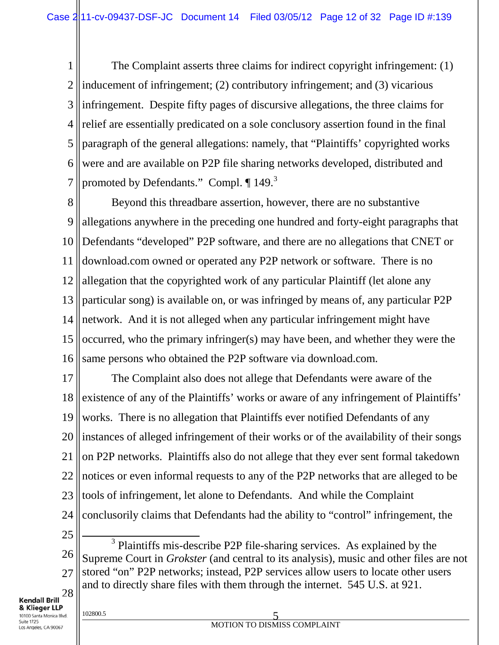1 2 3 4 5 6 7 The Complaint asserts three claims for indirect copyright infringement: (1) inducement of infringement; (2) contributory infringement; and (3) vicarious infringement. Despite fifty pages of discursive allegations, the three claims for relief are essentially predicated on a sole conclusory assertion found in the final paragraph of the general allegations: namely, that "Plaintiffs' copyrighted works were and are available on P2P file sharing networks developed, distributed and promoted by Defendants." Compl. ¶ 149.<sup>3</sup>

8 9 10 11 12 13 14 15 16 Beyond this threadbare assertion, however, there are no substantive allegations anywhere in the preceding one hundred and forty-eight paragraphs that Defendants "developed" P2P software, and there are no allegations that CNET or download.com owned or operated any P2P network or software. There is no allegation that the copyrighted work of any particular Plaintiff (let alone any particular song) is available on, or was infringed by means of, any particular P2P network. And it is not alleged when any particular infringement might have occurred, who the primary infringer(s) may have been, and whether they were the same persons who obtained the P2P software via download.com.

17 18 19 20 21 22 23 24 The Complaint also does not allege that Defendants were aware of the existence of any of the Plaintiffs' works or aware of any infringement of Plaintiffs' works. There is no allegation that Plaintiffs ever notified Defendants of any instances of alleged infringement of their works or of the availability of their songs on P2P networks. Plaintiffs also do not allege that they ever sent formal takedown notices or even informal requests to any of the P2P networks that are alleged to be tools of infringement, let alone to Defendants. And while the Complaint conclusorily claims that Defendants had the ability to "control" infringement, the

25

26 27 28 <sup>3</sup> Plaintiffs mis-describe P2P file-sharing services. As explained by the Supreme Court in *Grokster* (and central to its analysis), music and other files are not stored "on" P2P networks; instead, P2P services allow users to locate other users and to directly share files with them through the internet. 545 U.S. at 921.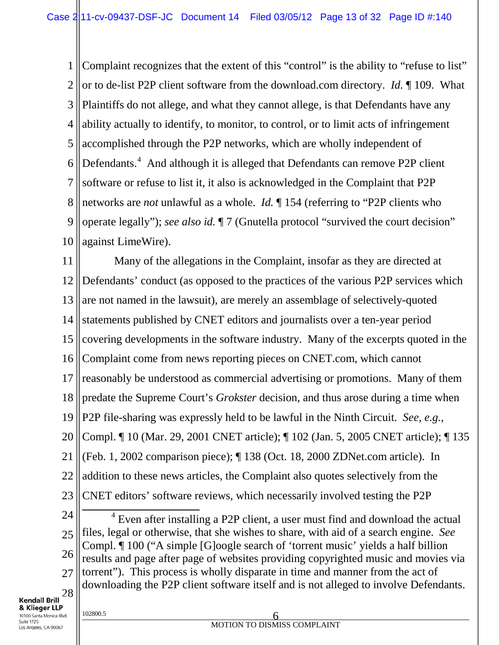1 2 3 4 5 6 7 8 9 10 Complaint recognizes that the extent of this "control" is the ability to "refuse to list" or to de-list P2P client software from the download.com directory. *Id.* ¶ 109. What Plaintiffs do not allege, and what they cannot allege, is that Defendants have any ability actually to identify, to monitor, to control, or to limit acts of infringement accomplished through the P2P networks, which are wholly independent of Defendants.<sup>4</sup> And although it is alleged that Defendants can remove P2P client software or refuse to list it, it also is acknowledged in the Complaint that P2P networks are *not* unlawful as a whole. *Id.* ¶ 154 (referring to "P2P clients who operate legally"); *see also id.* ¶ 7 (Gnutella protocol "survived the court decision" against LimeWire).

11 12 13 14 15 16 17 18 19 20 21 22 23 Many of the allegations in the Complaint, insofar as they are directed at Defendants' conduct (as opposed to the practices of the various P2P services which are not named in the lawsuit), are merely an assemblage of selectively-quoted statements published by CNET editors and journalists over a ten-year period covering developments in the software industry. Many of the excerpts quoted in the Complaint come from news reporting pieces on CNET.com, which cannot reasonably be understood as commercial advertising or promotions. Many of them predate the Supreme Court's *Grokster* decision, and thus arose during a time when P2P file-sharing was expressly held to be lawful in the Ninth Circuit. *See, e.g.*, Compl. ¶ 10 (Mar. 29, 2001 CNET article); ¶ 102 (Jan. 5, 2005 CNET article); ¶ 135 (Feb. 1, 2002 comparison piece); ¶ 138 (Oct. 18, 2000 ZDNet.com article). In addition to these news articles, the Complaint also quotes selectively from the CNET editors' software reviews, which necessarily involved testing the P2P

24 25 26 27 28 <sup>4</sup> Even after installing a P2P client, a user must find and download the actual files, legal or otherwise, that she wishes to share, with aid of a search engine. *See*  Compl. ¶ 100 ("A simple [G]oogle search of 'torrent music' yields a half billion results and page after page of websites providing copyrighted music and movies via torrent"). This process is wholly disparate in time and manner from the act of downloading the P2P client software itself and is not alleged to involve Defendants.

& Klieger LLP 10100 Santa Monica Blvd. Suite 1725 Los Angeles, CA 90067

**Kendall Brill**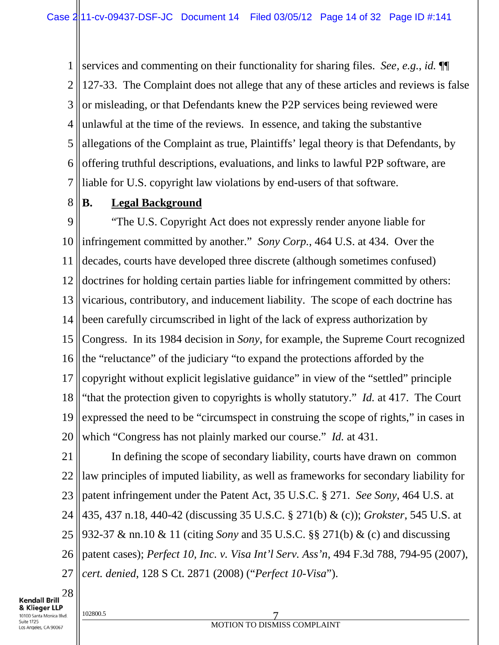1 2 3 4 5 6 7 services and commenting on their functionality for sharing files. *See, e.g.*, *id.* ¶¶ 127-33. The Complaint does not allege that any of these articles and reviews is false or misleading, or that Defendants knew the P2P services being reviewed were unlawful at the time of the reviews. In essence, and taking the substantive allegations of the Complaint as true, Plaintiffs' legal theory is that Defendants, by offering truthful descriptions, evaluations, and links to lawful P2P software, are liable for U.S. copyright law violations by end-users of that software.

8 **B. Legal Background**

9 10 11 12 13 14 15 16 17 18 19 20 "The U.S. Copyright Act does not expressly render anyone liable for infringement committed by another." *Sony Corp.*, 464 U.S. at 434. Over the decades, courts have developed three discrete (although sometimes confused) doctrines for holding certain parties liable for infringement committed by others: vicarious, contributory, and inducement liability. The scope of each doctrine has been carefully circumscribed in light of the lack of express authorization by Congress. In its 1984 decision in *Sony*, for example, the Supreme Court recognized the "reluctance" of the judiciary "to expand the protections afforded by the copyright without explicit legislative guidance" in view of the "settled" principle "that the protection given to copyrights is wholly statutory." *Id.* at 417. The Court expressed the need to be "circumspect in construing the scope of rights," in cases in which "Congress has not plainly marked our course." *Id.* at 431.

21 22 23 24 25 26 27 In defining the scope of secondary liability, courts have drawn on common law principles of imputed liability, as well as frameworks for secondary liability for patent infringement under the Patent Act, 35 U.S.C. § 271. *See Sony*, 464 U.S. at 435, 437 n.18, 440-42 (discussing 35 U.S.C. § 271(b) & (c)); *Grokster*, 545 U.S. at 932-37 & nn.10 & 11 (citing *Sony* and 35 U.S.C. §§ 271(b) & (c) and discussing patent cases); *Perfect 10, Inc. v. Visa Int'l Serv. Ass'n*, 494 F.3d 788, 794-95 (2007), *cert. denied*, 128 S Ct. 2871 (2008) ("*Perfect 10-Visa*").

28 Kendall Brill & Klieger LLP 10100 Santa Monica Blvd. Suite 1725

os Angeles, CA 90067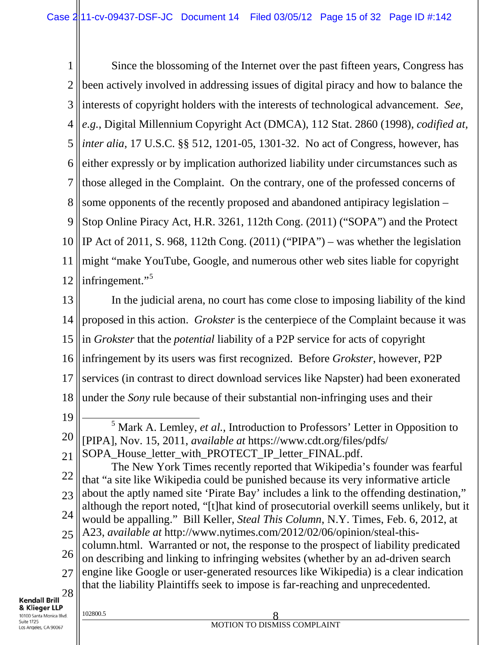1 2 3 4 5 6 7 8 9 10 11 12 Since the blossoming of the Internet over the past fifteen years, Congress has been actively involved in addressing issues of digital piracy and how to balance the interests of copyright holders with the interests of technological advancement. *See, e.g.*, Digital Millennium Copyright Act (DMCA), 112 Stat. 2860 (1998), *codified at, inter alia*, 17 U.S.C. §§ 512, 1201-05, 1301-32. No act of Congress, however, has either expressly or by implication authorized liability under circumstances such as those alleged in the Complaint. On the contrary, one of the professed concerns of some opponents of the recently proposed and abandoned antipiracy legislation – Stop Online Piracy Act, H.R. 3261, 112th Cong. (2011) ("SOPA") and the Protect IP Act of 2011, S. 968, 112th Cong. (2011) ("PIPA") – was whether the legislation might "make YouTube, Google, and numerous other web sites liable for copyright infringement."<sup>5</sup>

13 14 15 16 17 18 19 In the judicial arena, no court has come close to imposing liability of the kind proposed in this action. *Grokster* is the centerpiece of the Complaint because it was in *Grokster* that the *potential* liability of a P2P service for acts of copyright infringement by its users was first recognized. Before *Grokster*, however, P2P services (in contrast to direct download services like Napster) had been exonerated under the *Sony* rule because of their substantial non-infringing uses and their

20 <sup>5</sup> Mark A. Lemley, *et al.*, Introduction to Professors' Letter in Opposition to [PIPA], Nov. 15, 2011, *available at* https://www.cdt.org/files/pdfs/

22 23 24 25 26 27 The New York Times recently reported that Wikipedia's founder was fearful that "a site like Wikipedia could be punished because its very informative article about the aptly named site 'Pirate Bay' includes a link to the offending destination," although the report noted, "[t]hat kind of prosecutorial overkill seems unlikely, but it would be appalling." Bill Keller, *Steal This Column*, N.Y. Times, Feb. 6, 2012, at A23, *available at* http://www.nytimes.com/2012/02/06/opinion/steal-thiscolumn.html. Warranted or not, the response to the prospect of liability predicated on describing and linking to infringing websites (whether by an ad-driven search engine like Google or user-generated resources like Wikipedia) is a clear indication that the liability Plaintiffs seek to impose is far-reaching and unprecedented.

<sup>21</sup> SOPA\_House\_letter\_with\_PROTECT\_IP\_letter\_FINAL.pdf.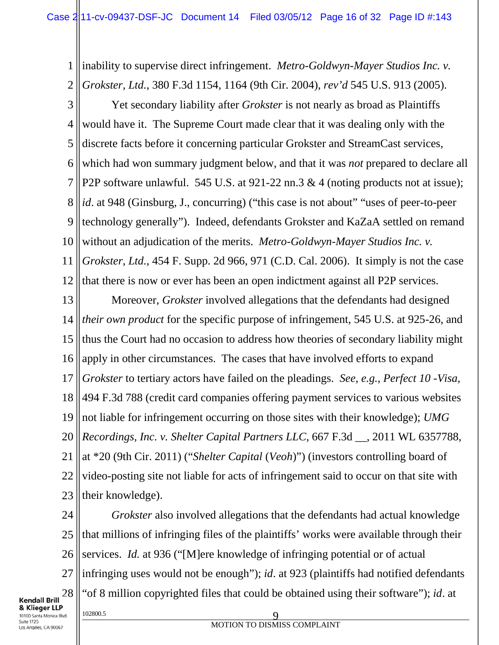1 2 inability to supervise direct infringement. *Metro-Goldwyn-Mayer Studios Inc. v. Grokster, Ltd.*, 380 F.3d 1154, 1164 (9th Cir. 2004), *rev'd* 545 U.S. 913 (2005).

3 4 5 6 7 8 9 10 11 12 Yet secondary liability after *Grokster* is not nearly as broad as Plaintiffs would have it. The Supreme Court made clear that it was dealing only with the discrete facts before it concerning particular Grokster and StreamCast services, which had won summary judgment below, and that it was *not* prepared to declare all P2P software unlawful. 545 U.S. at 921-22 nn.3 & 4 (noting products not at issue); *id.* at 948 (Ginsburg, J., concurring) ("this case is not about" "uses of peer-to-peer technology generally"). Indeed, defendants Grokster and KaZaA settled on remand without an adjudication of the merits. *Metro-Goldwyn-Mayer Studios Inc. v. Grokster, Ltd.*, 454 F. Supp. 2d 966, 971 (C.D. Cal. 2006). It simply is not the case that there is now or ever has been an open indictment against all P2P services.

13 14 15 16 17 18 19 20 21 22 23 Moreover, *Grokster* involved allegations that the defendants had designed *their own product* for the specific purpose of infringement, 545 U.S. at 925-26, and thus the Court had no occasion to address how theories of secondary liability might apply in other circumstances. The cases that have involved efforts to expand *Grokster* to tertiary actors have failed on the pleadings. *See*, *e.g.*, *Perfect 10 -Visa*, 494 F.3d 788 (credit card companies offering payment services to various websites not liable for infringement occurring on those sites with their knowledge); *UMG Recordings, Inc. v. Shelter Capital Partners LLC*, 667 F.3d \_\_, 2011 WL 6357788, at \*20 (9th Cir. 2011) ("*Shelter Capital* (*Veoh*)") (investors controlling board of video-posting site not liable for acts of infringement said to occur on that site with their knowledge).

24 25 26 27 28 102800.5 9 *Grokster* also involved allegations that the defendants had actual knowledge that millions of infringing files of the plaintiffs' works were available through their services. *Id.* at 936 ("[M]ere knowledge of infringing potential or of actual infringing uses would not be enough"); *id*. at 923 (plaintiffs had notified defendants "of 8 million copyrighted files that could be obtained using their software"); *id*. at

& Klieger LLP 10100 Santa Monica Blvd. Suite 1725 os Angeles, CA 90067

**Kendall Brill**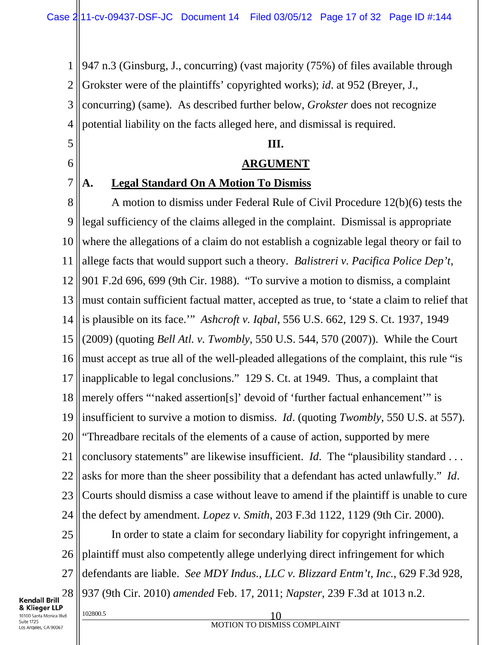1 2 3 4 947 n.3 (Ginsburg, J., concurring) (vast majority (75%) of files available through Grokster were of the plaintiffs' copyrighted works); *id*. at 952 (Breyer, J., concurring) (same). As described further below, *Grokster* does not recognize potential liability on the facts alleged here, and dismissal is required.

## **III.**

## **ARGUMENT**

# **A. Legal Standard On A Motion To Dismiss**

8 9 10 11 12 13 14 15 16 17 18 19 20 21 22 23 24 A motion to dismiss under Federal Rule of Civil Procedure 12(b)(6) tests the legal sufficiency of the claims alleged in the complaint. Dismissal is appropriate where the allegations of a claim do not establish a cognizable legal theory or fail to allege facts that would support such a theory. *Balistreri v. Pacifica Police Dep't*, 901 F.2d 696, 699 (9th Cir. 1988). "To survive a motion to dismiss, a complaint must contain sufficient factual matter, accepted as true, to 'state a claim to relief that is plausible on its face.'" *Ashcroft v. Iqbal*, 556 U.S. 662, 129 S. Ct. 1937, 1949 (2009) (quoting *Bell Atl. v. Twombly*, 550 U.S. 544, 570 (2007)). While the Court must accept as true all of the well-pleaded allegations of the complaint, this rule "is inapplicable to legal conclusions." 129 S. Ct. at 1949. Thus, a complaint that merely offers "'naked assertion[s]' devoid of 'further factual enhancement'" is insufficient to survive a motion to dismiss. *Id*. (quoting *Twombly*, 550 U.S. at 557). "Threadbare recitals of the elements of a cause of action, supported by mere conclusory statements" are likewise insufficient. *Id*. The "plausibility standard . . . asks for more than the sheer possibility that a defendant has acted unlawfully." *Id*. Courts should dismiss a case without leave to amend if the plaintiff is unable to cure the defect by amendment. *Lopez v. Smith*, 203 F.3d 1122, 1129 (9th Cir. 2000).

25 26 27 28 In order to state a claim for secondary liability for copyright infringement, a plaintiff must also competently allege underlying direct infringement for which defendants are liable. *See MDY Indus., LLC v. Blizzard Entm't, Inc.*, 629 F.3d 928, 937 (9th Cir. 2010) *amended* Feb. 17, 2011; *Napster*, 239 F.3d at 1013 n.2.

Kendall Brill & Klieger LLP 10100 Santa Monica Blvd. Suite 1725 os Angeles, CA 90067

5

6

7

## $10^{2800.5}$  10 MOTION TO DISMISS COMPLAINT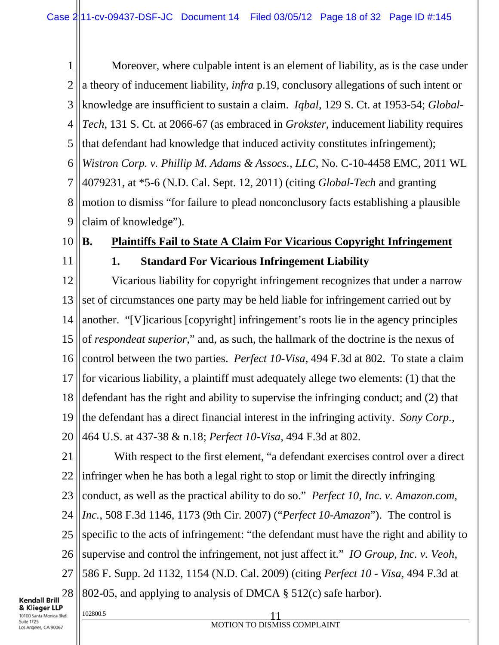1 2 3 4 5 6 7 8 9 Moreover, where culpable intent is an element of liability, as is the case under a theory of inducement liability, *infra* p.19, conclusory allegations of such intent or knowledge are insufficient to sustain a claim. *Iqbal*, 129 S. Ct. at 1953-54; *Global-Tech*, 131 S. Ct. at 2066-67 (as embraced in *Grokster*, inducement liability requires that defendant had knowledge that induced activity constitutes infringement); *Wistron Corp. v. Phillip M. Adams & Assocs., LLC*, No. C-10-4458 EMC, 2011 WL 4079231, at \*5-6 (N.D. Cal. Sept. 12, 2011) (citing *Global-Tech* and granting motion to dismiss "for failure to plead nonconclusory facts establishing a plausible claim of knowledge").

10

# **B. Plaintiffs Fail to State A Claim For Vicarious Copyright Infringement**

11

# **1. Standard For Vicarious Infringement Liability**

12 13 14 15 16 17 18 19 20 Vicarious liability for copyright infringement recognizes that under a narrow set of circumstances one party may be held liable for infringement carried out by another. "[V]icarious [copyright] infringement's roots lie in the agency principles of *respondeat superior*," and, as such, the hallmark of the doctrine is the nexus of control between the two parties. *Perfect 10-Visa*, 494 F.3d at 802. To state a claim for vicarious liability, a plaintiff must adequately allege two elements: (1) that the defendant has the right and ability to supervise the infringing conduct; and (2) that the defendant has a direct financial interest in the infringing activity. *Sony Corp.*, 464 U.S. at 437-38 & n.18; *Perfect 10-Visa*, 494 F.3d at 802.

21 22 23 24 25 26 27 28 With respect to the first element, "a defendant exercises control over a direct infringer when he has both a legal right to stop or limit the directly infringing conduct, as well as the practical ability to do so." *Perfect 10, Inc. v. Amazon.com, Inc.*, 508 F.3d 1146, 1173 (9th Cir. 2007) ("*Perfect 10-Amazon*"). The control is specific to the acts of infringement: "the defendant must have the right and ability to supervise and control the infringement, not just affect it." *IO Group, Inc. v. Veoh*, 586 F. Supp. 2d 1132, 1154 (N.D. Cal. 2009) (citing *Perfect 10 - Visa*, 494 F.3d at 802-05, and applying to analysis of DMCA § 512(c) safe harbor).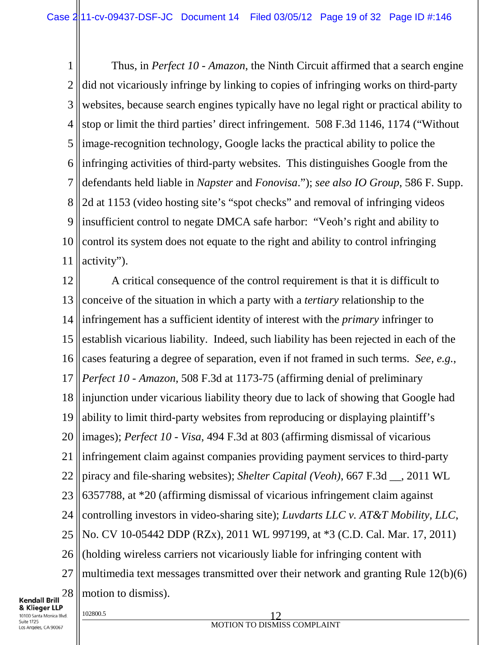1 2 3 4 5 6 7 8 9 10 11 Thus, in *Perfect 10 - Amazon*, the Ninth Circuit affirmed that a search engine did not vicariously infringe by linking to copies of infringing works on third-party websites, because search engines typically have no legal right or practical ability to stop or limit the third parties' direct infringement. 508 F.3d 1146, 1174 ("Without image-recognition technology, Google lacks the practical ability to police the infringing activities of third-party websites. This distinguishes Google from the defendants held liable in *Napster* and *Fonovisa*."); *see also IO Group*, 586 F. Supp. 2d at 1153 (video hosting site's "spot checks" and removal of infringing videos insufficient control to negate DMCA safe harbor: "Veoh's right and ability to control its system does not equate to the right and ability to control infringing activity").

12 13 14 15 16 17 18 19 20 21 22 23 24 25 26 27 28 A critical consequence of the control requirement is that it is difficult to conceive of the situation in which a party with a *tertiary* relationship to the infringement has a sufficient identity of interest with the *primary* infringer to establish vicarious liability. Indeed, such liability has been rejected in each of the cases featuring a degree of separation, even if not framed in such terms. *See, e.g.*, *Perfect 10 - Amazon*, 508 F.3d at 1173-75 (affirming denial of preliminary injunction under vicarious liability theory due to lack of showing that Google had ability to limit third-party websites from reproducing or displaying plaintiff's images); *Perfect 10 - Visa*, 494 F.3d at 803 (affirming dismissal of vicarious infringement claim against companies providing payment services to third-party piracy and file-sharing websites); *Shelter Capital (Veoh)*, 667 F.3d \_\_, 2011 WL 6357788, at \*20 (affirming dismissal of vicarious infringement claim against controlling investors in video-sharing site); *Luvdarts LLC v. AT&T Mobility, LLC*, No. CV 10-05442 DDP (RZx), 2011 WL 997199, at \*3 (C.D. Cal. Mar. 17, 2011) (holding wireless carriers not vicariously liable for infringing content with multimedia text messages transmitted over their network and granting Rule 12(b)(6) motion to dismiss).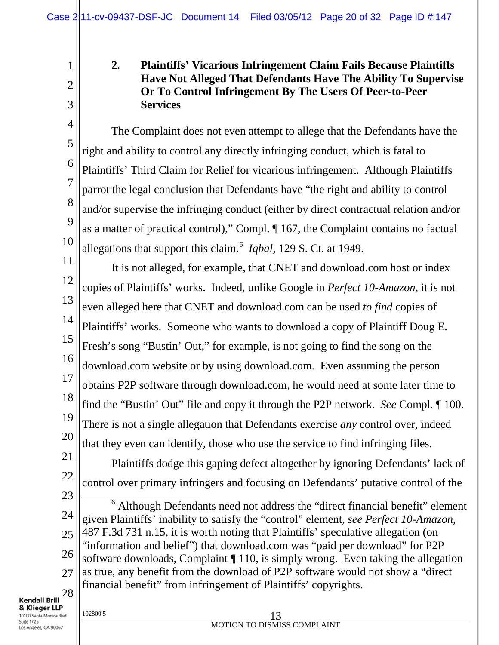# **2. Plaintiffs' Vicarious Infringement Claim Fails Because Plaintiffs Have Not Alleged That Defendants Have The Ability To Supervise Or To Control Infringement By The Users Of Peer-to-Peer Services**

The Complaint does not even attempt to allege that the Defendants have the right and ability to control any directly infringing conduct, which is fatal to Plaintiffs' Third Claim for Relief for vicarious infringement. Although Plaintiffs parrot the legal conclusion that Defendants have "the right and ability to control and/or supervise the infringing conduct (either by direct contractual relation and/or as a matter of practical control)," Compl. ¶ 167, the Complaint contains no factual allegations that support this claim.<sup>6</sup> *Iqbal*, 129 S. Ct. at 1949.

11 12 13 14 15 16 17 18 19 20 It is not alleged, for example, that CNET and download.com host or index copies of Plaintiffs' works. Indeed, unlike Google in *Perfect 10-Amazon*, it is not even alleged here that CNET and download.com can be used *to find* copies of Plaintiffs' works. Someone who wants to download a copy of Plaintiff Doug E. Fresh's song "Bustin' Out," for example, is not going to find the song on the download.com website or by using download.com. Even assuming the person obtains P2P software through download.com, he would need at some later time to find the "Bustin' Out" file and copy it through the P2P network. *See* Compl. ¶ 100. There is not a single allegation that Defendants exercise *any* control over, indeed that they even can identify, those who use the service to find infringing files.

21 22 Plaintiffs dodge this gaping defect altogether by ignoring Defendants' lack of control over primary infringers and focusing on Defendants' putative control of the

23 24 25 26 27 28 <sup>6</sup> Although Defendants need not address the "direct financial benefit" element given Plaintiffs' inability to satisfy the "control" element, *see Perfect 10-Amazon*, 487 F.3d 731 n.15, it is worth noting that Plaintiffs' speculative allegation (on "information and belief") that download.com was "paid per download" for P2P software downloads, Complaint ¶ 110, is simply wrong. Even taking the allegation as true, any benefit from the download of P2P software would not show a "direct financial benefit" from infringement of Plaintiffs' copyrights.

**Kendall Brill** & Klieger LLP 10100 Santa Monica Blvd. Suite 1725 Los Angeles, CA 90067

1

2

3

4

5

6

7

8

9

10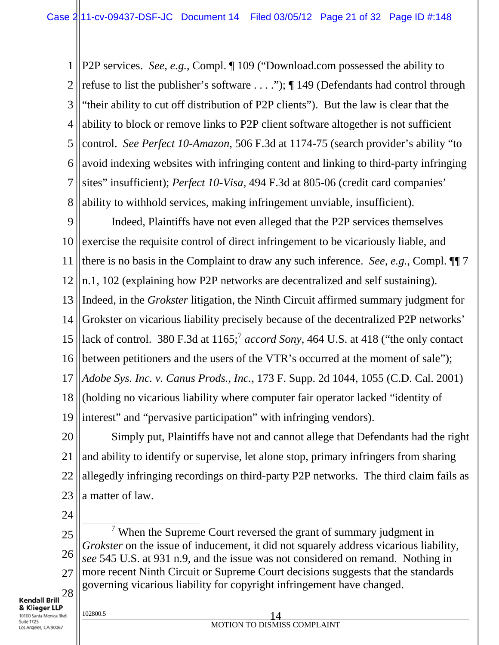1 2 3 4 5 6 7 8 P2P services. *See, e.g.*, Compl. ¶ 109 ("Download.com possessed the ability to refuse to list the publisher's software . . . ."); ¶ 149 (Defendants had control through "their ability to cut off distribution of P2P clients"). But the law is clear that the ability to block or remove links to P2P client software altogether is not sufficient control. *See Perfect 10-Amazon*, 506 F.3d at 1174-75 (search provider's ability "to avoid indexing websites with infringing content and linking to third-party infringing sites" insufficient); *Perfect 10-Visa*, 494 F.3d at 805-06 (credit card companies' ability to withhold services, making infringement unviable, insufficient).

9 10 11 12 Indeed, Plaintiffs have not even alleged that the P2P services themselves exercise the requisite control of direct infringement to be vicariously liable, and there is no basis in the Complaint to draw any such inference. *See, e.g.*, Compl. ¶¶ 7 n.1, 102 (explaining how P2P networks are decentralized and self sustaining).

13 14 15 Indeed, in the *Grokster* litigation, the Ninth Circuit affirmed summary judgment for Grokster on vicarious liability precisely because of the decentralized P2P networks' lack of control. 380 F.3d at  $1165$ ;  $\alpha$  *accord Sony*, 464 U.S. at 418 ("the only contact

16 17 between petitioners and the users of the VTR's occurred at the moment of sale"); *Adobe Sys. Inc. v. Canus Prods., Inc.*, 173 F. Supp. 2d 1044, 1055 (C.D. Cal. 2001)

18 19 (holding no vicarious liability where computer fair operator lacked "identity of interest" and "pervasive participation" with infringing vendors).

20 21 22 23 Simply put, Plaintiffs have not and cannot allege that Defendants had the right and ability to identify or supervise, let alone stop, primary infringers from sharing allegedly infringing recordings on third-party P2P networks. The third claim fails as a matter of law.

24

25 26 27 28  $7$  When the Supreme Court reversed the grant of summary judgment in *Grokster* on the issue of inducement, it did not squarely address vicarious liability, *see* 545 U.S. at 931 n.9, and the issue was not considered on remand. Nothing in more recent Ninth Circuit or Supreme Court decisions suggests that the standards governing vicarious liability for copyright infringement have changed.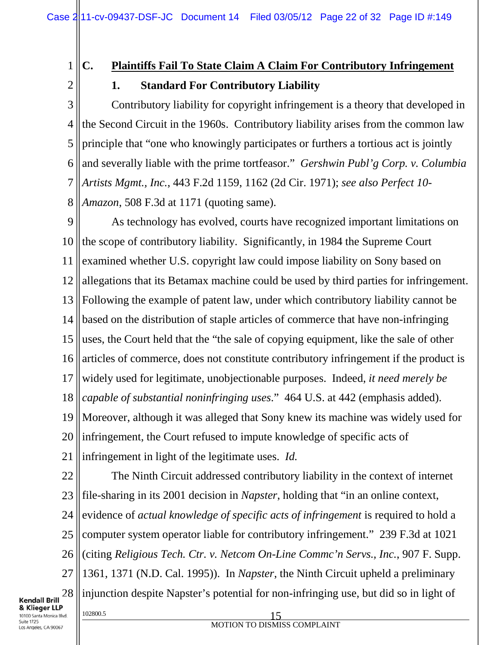1 2

# **C. Plaintiffs Fail To State Claim A Claim For Contributory Infringement 1. Standard For Contributory Liability**

3 4 5 6 7 8 Contributory liability for copyright infringement is a theory that developed in the Second Circuit in the 1960s. Contributory liability arises from the common law principle that "one who knowingly participates or furthers a tortious act is jointly and severally liable with the prime tortfeasor." *Gershwin Publ'g Corp. v. Columbia Artists Mgmt., Inc.*, 443 F.2d 1159, 1162 (2d Cir. 1971); *see also Perfect 10- Amazon*, 508 F.3d at 1171 (quoting same).

9 10 11 12 13 14 15 16 17 18 19 20 21 As technology has evolved, courts have recognized important limitations on the scope of contributory liability. Significantly, in 1984 the Supreme Court examined whether U.S. copyright law could impose liability on Sony based on allegations that its Betamax machine could be used by third parties for infringement. Following the example of patent law, under which contributory liability cannot be based on the distribution of staple articles of commerce that have non-infringing uses, the Court held that the "the sale of copying equipment, like the sale of other articles of commerce, does not constitute contributory infringement if the product is widely used for legitimate, unobjectionable purposes. Indeed, *it need merely be capable of substantial noninfringing uses*." 464 U.S. at 442 (emphasis added). Moreover, although it was alleged that Sony knew its machine was widely used for infringement, the Court refused to impute knowledge of specific acts of infringement in light of the legitimate uses. *Id.*

22 23 24 25 26 27 28 102800.5 15 The Ninth Circuit addressed contributory liability in the context of internet file-sharing in its 2001 decision in *Napster*, holding that "in an online context, evidence of *actual knowledge of specific acts of infringement* is required to hold a computer system operator liable for contributory infringement." 239 F.3d at 1021 (citing *Religious Tech. Ctr. v. Netcom On-Line Commc'n Servs., Inc.*, 907 F. Supp. 1361, 1371 (N.D. Cal. 1995)). In *Napster*, the Ninth Circuit upheld a preliminary injunction despite Napster's potential for non-infringing use, but did so in light of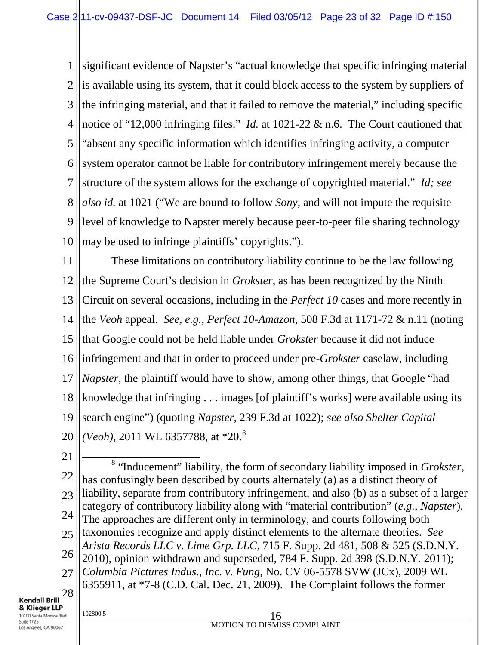1 2 3 4 5 6 7 8 9 10 significant evidence of Napster's "actual knowledge that specific infringing material is available using its system, that it could block access to the system by suppliers of the infringing material, and that it failed to remove the material," including specific notice of "12,000 infringing files." *Id.* at 1021-22 & n.6. The Court cautioned that "absent any specific information which identifies infringing activity, a computer system operator cannot be liable for contributory infringement merely because the structure of the system allows for the exchange of copyrighted material." *Id; see also id.* at 1021 ("We are bound to follow *Sony*, and will not impute the requisite level of knowledge to Napster merely because peer-to-peer file sharing technology may be used to infringe plaintiffs' copyrights.").

11 12 13 14 15 16 17 18 19 20 These limitations on contributory liability continue to be the law following the Supreme Court's decision in *Grokster*, as has been recognized by the Ninth Circuit on several occasions, including in the *Perfect 10* cases and more recently in the *Veoh* appeal. *See, e.g.*, *Perfect 10-Amazon*, 508 F.3d at 1171-72 & n.11 (noting that Google could not be held liable under *Grokster* because it did not induce infringement and that in order to proceed under pre-*Grokster* caselaw, including *Napster*, the plaintiff would have to show, among other things, that Google "had knowledge that infringing . . . images [of plaintiff's works] were available using its search engine") (quoting *Napster*, 239 F.3d at 1022); *see also Shelter Capital (Veoh)*, 2011 WL 6357788, at \*20.<sup>8</sup>

21

22 23 24 25 26 27 28 <sup>8</sup> "Inducement" liability, the form of secondary liability imposed in *Grokster*, has confusingly been described by courts alternately (a) as a distinct theory of liability, separate from contributory infringement, and also (b) as a subset of a larger category of contributory liability along with "material contribution" (*e.g.*, *Napster*). The approaches are different only in terminology, and courts following both taxonomies recognize and apply distinct elements to the alternate theories. *See Arista Records LLC v. Lime Grp. LLC*, 715 F. Supp. 2d 481, 508 & 525 (S.D.N.Y. 2010), opinion withdrawn and superseded, 784 F. Supp. 2d 398 (S.D.N.Y. 2011); *Columbia Pictures Indus., Inc. v. Fung*, No. CV 06-5578 SVW (JCx), 2009 WL 6355911, at \*7-8 (C.D. Cal. Dec. 21, 2009). The Complaint follows the former

**Kendall Brill** & Klieger LLP 10100 Santa Monica Blvd. Suite 1725

Los Angeles, CA 90067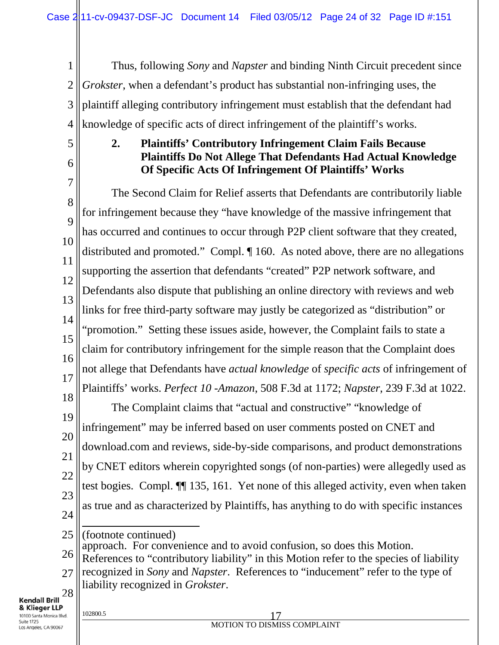1 2 3 4 Thus, following *Sony* and *Napster* and binding Ninth Circuit precedent since *Grokster*, when a defendant's product has substantial non-infringing uses, the plaintiff alleging contributory infringement must establish that the defendant had knowledge of specific acts of direct infringement of the plaintiff's works.

5 6

## **2. Plaintiffs' Contributory Infringement Claim Fails Because Plaintiffs Do Not Allege That Defendants Had Actual Knowledge Of Specific Acts Of Infringement Of Plaintiffs' Works**

7 8 9 10 11 12 13 14 15 16 17 18 The Second Claim for Relief asserts that Defendants are contributorily liable for infringement because they "have knowledge of the massive infringement that has occurred and continues to occur through P2P client software that they created, distributed and promoted." Compl. ¶ 160. As noted above, there are no allegations supporting the assertion that defendants "created" P2P network software, and Defendants also dispute that publishing an online directory with reviews and web links for free third-party software may justly be categorized as "distribution" or "promotion." Setting these issues aside, however, the Complaint fails to state a claim for contributory infringement for the simple reason that the Complaint does not allege that Defendants have *actual knowledge* of *specific acts* of infringement of Plaintiffs' works. *Perfect 10 -Amazon*, 508 F.3d at 1172; *Napster*, 239 F.3d at 1022.

19 20 21 22 23 24 The Complaint claims that "actual and constructive" "knowledge of infringement" may be inferred based on user comments posted on CNET and download.com and reviews, side-by-side comparisons, and product demonstrations by CNET editors wherein copyrighted songs (of non-parties) were allegedly used as test bogies. Compl. ¶¶ 135, 161. Yet none of this alleged activity, even when taken as true and as characterized by Plaintiffs, has anything to do with specific instances

- 25
	- (footnote continued) approach. For convenience and to avoid confusion, so does this Motion.
- 26 References to "contributory liability" in this Motion refer to the species of liability
- 27 28 recognized in *Sony* and *Napster*. References to "inducement" refer to the type of liability recognized in *Grokster*.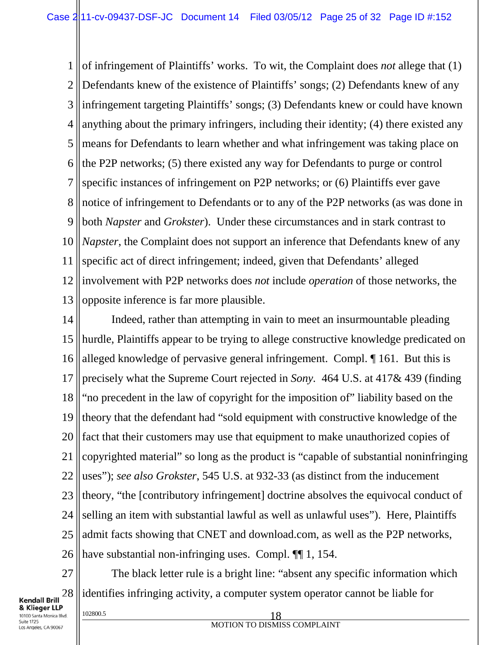1 2 3 4 5 6 7 8 9 10 11 12 13 of infringement of Plaintiffs' works. To wit, the Complaint does *not* allege that (1) Defendants knew of the existence of Plaintiffs' songs; (2) Defendants knew of any infringement targeting Plaintiffs' songs; (3) Defendants knew or could have known anything about the primary infringers, including their identity; (4) there existed any means for Defendants to learn whether and what infringement was taking place on the P2P networks; (5) there existed any way for Defendants to purge or control specific instances of infringement on P2P networks; or (6) Plaintiffs ever gave notice of infringement to Defendants or to any of the P2P networks (as was done in both *Napster* and *Grokster*). Under these circumstances and in stark contrast to *Napster*, the Complaint does not support an inference that Defendants knew of any specific act of direct infringement; indeed, given that Defendants' alleged involvement with P2P networks does *not* include *operation* of those networks, the opposite inference is far more plausible.

14 15 16 17 18 19 20 21 22 23 24 25 26 Indeed, rather than attempting in vain to meet an insurmountable pleading hurdle, Plaintiffs appear to be trying to allege constructive knowledge predicated on alleged knowledge of pervasive general infringement. Compl. ¶ 161. But this is precisely what the Supreme Court rejected in *Sony.* 464 U.S. at 417& 439 (finding "no precedent in the law of copyright for the imposition of" liability based on the theory that the defendant had "sold equipment with constructive knowledge of the fact that their customers may use that equipment to make unauthorized copies of copyrighted material" so long as the product is "capable of substantial noninfringing uses"); *see also Grokster*, 545 U.S. at 932-33 (as distinct from the inducement theory, "the [contributory infringement] doctrine absolves the equivocal conduct of selling an item with substantial lawful as well as unlawful uses"). Here, Plaintiffs admit facts showing that CNET and download.com, as well as the P2P networks, have substantial non-infringing uses. Compl.  $\P$ [1, 154.

28 **Kendall Brill** & Klieger LLP 10100 Santa Monica Blvd. Suite 1725 Los Angeles, CA 90067

27

The black letter rule is a bright line: "absent any specific information which identifies infringing activity, a computer system operator cannot be liable for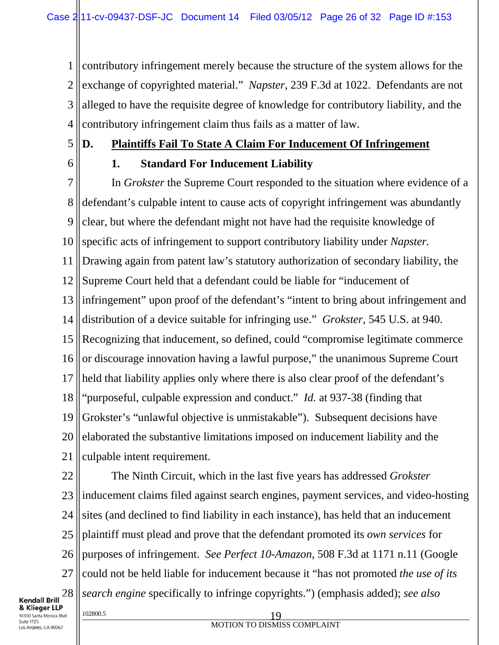1 2 3 4 contributory infringement merely because the structure of the system allows for the exchange of copyrighted material." *Napster*, 239 F.3d at 1022. Defendants are not alleged to have the requisite degree of knowledge for contributory liability, and the contributory infringement claim thus fails as a matter of law.

5

# **D. Plaintiffs Fail To State A Claim For Inducement Of Infringement**

6

# **1. Standard For Inducement Liability**

7 8 9 10 11 12 13 14 15 16 17 18 19 20 21 In *Grokster* the Supreme Court responded to the situation where evidence of a defendant's culpable intent to cause acts of copyright infringement was abundantly clear, but where the defendant might not have had the requisite knowledge of specific acts of infringement to support contributory liability under *Napster.*  Drawing again from patent law's statutory authorization of secondary liability, the Supreme Court held that a defendant could be liable for "inducement of infringement" upon proof of the defendant's "intent to bring about infringement and distribution of a device suitable for infringing use." *Grokster*, 545 U.S. at 940. Recognizing that inducement, so defined, could "compromise legitimate commerce or discourage innovation having a lawful purpose," the unanimous Supreme Court held that liability applies only where there is also clear proof of the defendant's "purposeful, culpable expression and conduct." *Id.* at 937-38 (finding that Grokster's "unlawful objective is unmistakable"). Subsequent decisions have elaborated the substantive limitations imposed on inducement liability and the culpable intent requirement.

22 23 24 25 26 27 28 102800.5 19 The Ninth Circuit, which in the last five years has addressed *Grokster*  inducement claims filed against search engines, payment services, and video-hosting sites (and declined to find liability in each instance), has held that an inducement plaintiff must plead and prove that the defendant promoted its *own services* for purposes of infringement. *See Perfect 10-Amazon*, 508 F.3d at 1171 n.11 (Google could not be held liable for inducement because it "has not promoted *the use of its search engine* specifically to infringe copyrights.") (emphasis added); *see also*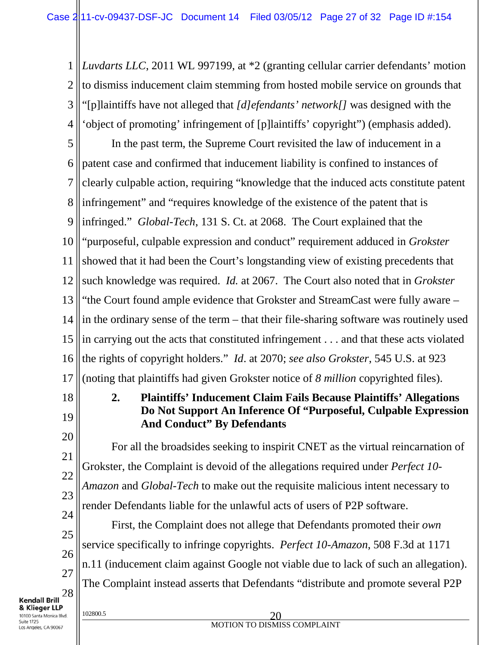1 2 3 4 *Luvdarts LLC*, 2011 WL 997199, at \*2 (granting cellular carrier defendants' motion to dismiss inducement claim stemming from hosted mobile service on grounds that "[p]laintiffs have not alleged that *[d]efendants' network[]* was designed with the 'object of promoting' infringement of [p]laintiffs' copyright") (emphasis added).

5 6 7 8 9 10 11 12 13 14 15 16 17 In the past term, the Supreme Court revisited the law of inducement in a patent case and confirmed that inducement liability is confined to instances of clearly culpable action, requiring "knowledge that the induced acts constitute patent infringement" and "requires knowledge of the existence of the patent that is infringed." *Global-Tech*, 131 S. Ct. at 2068. The Court explained that the "purposeful, culpable expression and conduct" requirement adduced in *Grokster* showed that it had been the Court's longstanding view of existing precedents that such knowledge was required. *Id.* at 2067. The Court also noted that in *Grokster*  "the Court found ample evidence that Grokster and StreamCast were fully aware – in the ordinary sense of the term – that their file-sharing software was routinely used in carrying out the acts that constituted infringement . . . and that these acts violated the rights of copyright holders." *Id*. at 2070; *see also Grokster*, 545 U.S. at 923 (noting that plaintiffs had given Grokster notice of *8 million* copyrighted files).

18 19

20

21

22

23

# **2. Plaintiffs' Inducement Claim Fails Because Plaintiffs' Allegations Do Not Support An Inference Of "Purposeful, Culpable Expression And Conduct" By Defendants**

For all the broadsides seeking to inspirit CNET as the virtual reincarnation of Grokster, the Complaint is devoid of the allegations required under *Perfect 10- Amazon* and *Global-Tech* to make out the requisite malicious intent necessary to render Defendants liable for the unlawful acts of users of P2P software.

24 25 26 27 28 First, the Complaint does not allege that Defendants promoted their *own*  service specifically to infringe copyrights. *Perfect 10-Amazon*, 508 F.3d at 1171 n.11 (inducement claim against Google not viable due to lack of such an allegation). The Complaint instead asserts that Defendants "distribute and promote several P2P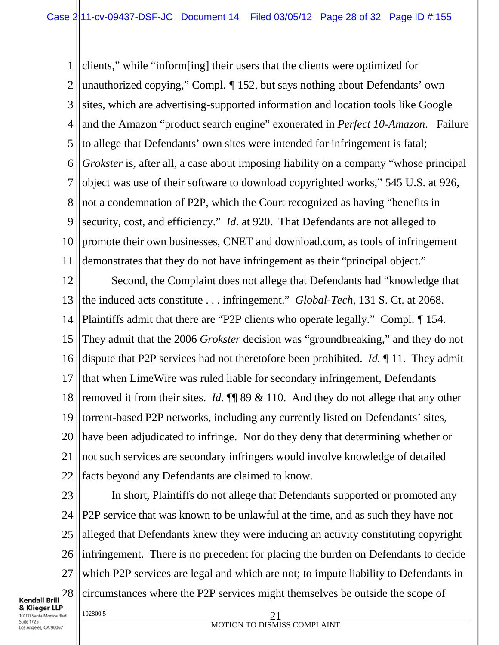1 2 3 4 5 6 7 8 9 10 11 clients," while "inform[ing] their users that the clients were optimized for unauthorized copying," Compl. *¶* 152, but says nothing about Defendants' own sites, which are advertising-supported information and location tools like Google and the Amazon "product search engine" exonerated in *Perfect 10-Amazon*. Failure to allege that Defendants' own sites were intended for infringement is fatal; *Grokster* is, after all, a case about imposing liability on a company "whose principal object was use of their software to download copyrighted works," 545 U.S. at 926, not a condemnation of P2P, which the Court recognized as having "benefits in security, cost, and efficiency." *Id.* at 920. That Defendants are not alleged to promote their own businesses, CNET and download.com, as tools of infringement demonstrates that they do not have infringement as their "principal object."

12 13 14 15 16 17 18 19 20 21 22 Second, the Complaint does not allege that Defendants had "knowledge that the induced acts constitute . . . infringement." *Global-Tech*, 131 S. Ct. at 2068. Plaintiffs admit that there are "P2P clients who operate legally." Compl. *¶* 154. They admit that the 2006 *Grokster* decision was "groundbreaking," and they do not dispute that P2P services had not theretofore been prohibited. *Id.* ¶ 11. They admit that when LimeWire was ruled liable for secondary infringement, Defendants removed it from their sites. *Id.*  $\P$  89 & 110. And they do not allege that any other torrent-based P2P networks, including any currently listed on Defendants' sites, have been adjudicated to infringe. Nor do they deny that determining whether or not such services are secondary infringers would involve knowledge of detailed facts beyond any Defendants are claimed to know.

23 24 25 26 27 28 In short, Plaintiffs do not allege that Defendants supported or promoted any P2P service that was known to be unlawful at the time, and as such they have not alleged that Defendants knew they were inducing an activity constituting copyright infringement. There is no precedent for placing the burden on Defendants to decide which P2P services are legal and which are not; to impute liability to Defendants in circumstances where the P2P services might themselves be outside the scope of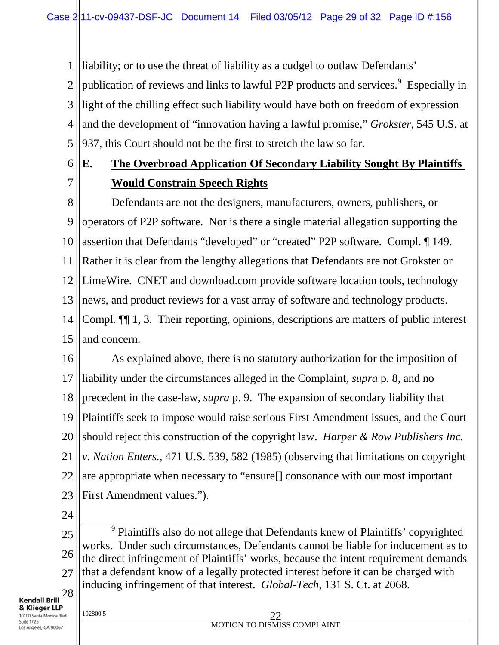liability; or to use the threat of liability as a cudgel to outlaw Defendants'

2 3 4 5 publication of reviews and links to lawful P2P products and services.<sup>9</sup> Especially in light of the chilling effect such liability would have both on freedom of expression and the development of "innovation having a lawful promise," *Grokster*, 545 U.S. at 937, this Court should not be the first to stretch the law so far.

#### 6 7 **E. The Overbroad Application Of Secondary Liability Sought By Plaintiffs Would Constrain Speech Rights**

8 9 10 11 12 13 14 15 Defendants are not the designers, manufacturers, owners, publishers, or operators of P2P software. Nor is there a single material allegation supporting the assertion that Defendants "developed" or "created" P2P software. Compl. ¶ 149. Rather it is clear from the lengthy allegations that Defendants are not Grokster or LimeWire. CNET and download.com provide software location tools, technology news, and product reviews for a vast array of software and technology products. Compl. ¶¶ 1, 3. Their reporting, opinions, descriptions are matters of public interest and concern.

16 17 18 19 20 21 22 23 As explained above, there is no statutory authorization for the imposition of liability under the circumstances alleged in the Complaint, *supra* p. 8, and no precedent in the case-law, *supra* p. 9. The expansion of secondary liability that Plaintiffs seek to impose would raise serious First Amendment issues, and the Court should reject this construction of the copyright law. *Harper & Row Publishers Inc. v. Nation Enters.*, 471 U.S. 539, 582 (1985) (observing that limitations on copyright are appropriate when necessary to "ensure[] consonance with our most important First Amendment values.").

24

1

25 26 27 28 <sup>9</sup> Plaintiffs also do not allege that Defendants knew of Plaintiffs' copyrighted works. Under such circumstances, Defendants cannot be liable for inducement as to the direct infringement of Plaintiffs' works, because the intent requirement demands that a defendant know of a legally protected interest before it can be charged with inducing infringement of that interest. *Global-Tech*, 131 S. Ct. at 2068.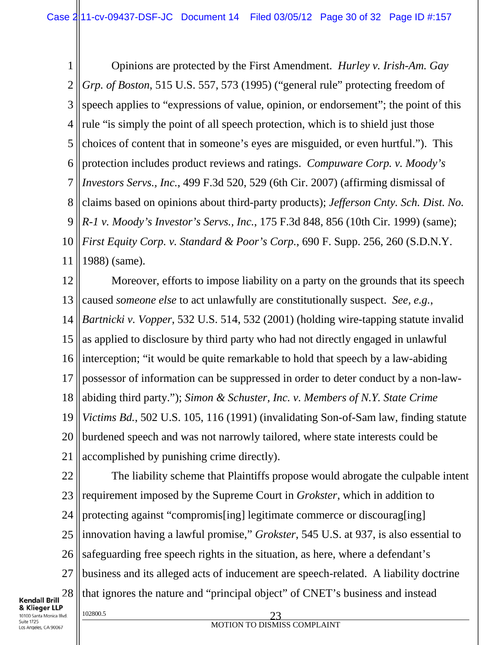1 2 3 4 5 6 7 8 9 10 11 Opinions are protected by the First Amendment. *Hurley v. Irish-Am. Gay Grp. of Boston*, 515 U.S. 557, 573 (1995) ("general rule" protecting freedom of speech applies to "expressions of value, opinion, or endorsement"; the point of this rule "is simply the point of all speech protection, which is to shield just those choices of content that in someone's eyes are misguided, or even hurtful."). This protection includes product reviews and ratings. *Compuware Corp. v. Moody's Investors Servs., Inc.*, 499 F.3d 520, 529 (6th Cir. 2007) (affirming dismissal of claims based on opinions about third-party products); *Jefferson Cnty. Sch. Dist. No. R-1 v. Moody's Investor's Servs., Inc.*, 175 F.3d 848, 856 (10th Cir. 1999) (same); *First Equity Corp. v. Standard & Poor's Corp.*, 690 F. Supp. 256, 260 (S.D.N.Y. 1988) (same).

12 13 14 15 16 17 18 19 20 21 Moreover, efforts to impose liability on a party on the grounds that its speech caused *someone else* to act unlawfully are constitutionally suspect. *See, e.g.*, *Bartnicki v. Vopper*, 532 U.S. 514, 532 (2001) (holding wire-tapping statute invalid as applied to disclosure by third party who had not directly engaged in unlawful interception; "it would be quite remarkable to hold that speech by a law-abiding possessor of information can be suppressed in order to deter conduct by a non-lawabiding third party."); *Simon & Schuster, Inc. v. Members of N.Y. State Crime Victims Bd.*, 502 U.S. 105, 116 (1991) (invalidating Son-of-Sam law, finding statute burdened speech and was not narrowly tailored, where state interests could be accomplished by punishing crime directly).

22 The liability scheme that Plaintiffs propose would abrogate the culpable intent 23 requirement imposed by the Supreme Court in *Grokster*, which in addition to protecting against "compromis[ing] legitimate commerce or discourag[ing] 24 25 innovation having a lawful promise," *Grokster*, 545 U.S. at 937, is also essential to safeguarding free speech rights in the situation, as here, where a defendant's 26 27 business and its alleged acts of inducement are speech-related. A liability doctrine that ignores the nature and "principal object" of CNET's business and instead 28 & Klieger LLP 102800.5 23 10100 Santa Monica Blvd.

**Kendall Brill** 

Suite 1725 Los Angeles, CA 90067 MOTION TO DISMISS COMPLAINT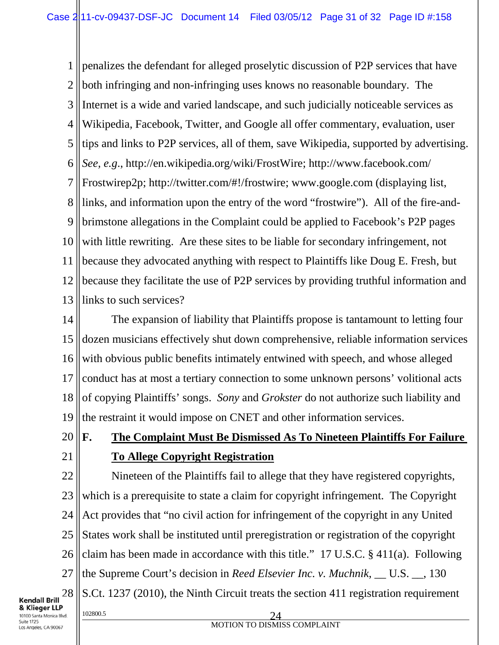1 2 3 4 5 6 7 8 9 10 11 12 13 penalizes the defendant for alleged proselytic discussion of P2P services that have both infringing and non-infringing uses knows no reasonable boundary. The Internet is a wide and varied landscape, and such judicially noticeable services as Wikipedia, Facebook, Twitter, and Google all offer commentary, evaluation, user tips and links to P2P services, all of them, save Wikipedia, supported by advertising. *See, e.g*., http://en.wikipedia.org/wiki/FrostWire; http://www.facebook.com/ Frostwirep2p; http://twitter.com/#!/frostwire; www.google.com (displaying list, links, and information upon the entry of the word "frostwire"). All of the fire-andbrimstone allegations in the Complaint could be applied to Facebook's P2P pages with little rewriting. Are these sites to be liable for secondary infringement, not because they advocated anything with respect to Plaintiffs like Doug E. Fresh, but because they facilitate the use of P2P services by providing truthful information and links to such services?

14 15 16 17 18 19 The expansion of liability that Plaintiffs propose is tantamount to letting four dozen musicians effectively shut down comprehensive, reliable information services with obvious public benefits intimately entwined with speech, and whose alleged conduct has at most a tertiary connection to some unknown persons' volitional acts of copying Plaintiffs' songs. *Sony* and *Grokster* do not authorize such liability and the restraint it would impose on CNET and other information services.

- 20
- 21

# **F. The Complaint Must Be Dismissed As To Nineteen Plaintiffs For Failure To Allege Copyright Registration**

22 23 24 25 26 27 28 102800.5 24 Nineteen of the Plaintiffs fail to allege that they have registered copyrights, which is a prerequisite to state a claim for copyright infringement. The Copyright Act provides that "no civil action for infringement of the copyright in any United States work shall be instituted until preregistration or registration of the copyright claim has been made in accordance with this title." 17 U.S.C. § 411(a). Following the Supreme Court's decision in *Reed Elsevier Inc. v. Muchnik*, \_\_ U.S. \_\_, 130 S.Ct. 1237 (2010), the Ninth Circuit treats the section 411 registration requirement